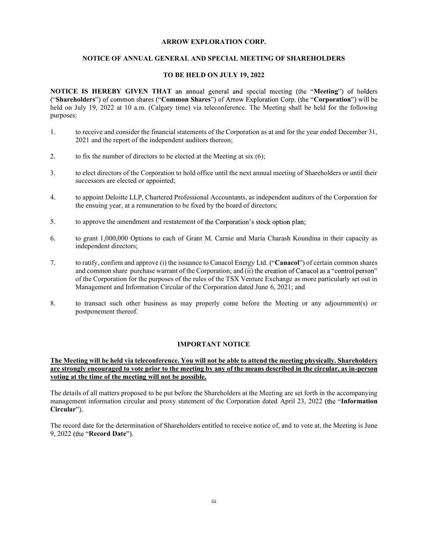#### ARROW EXPLORATION CORP.

#### NOTICE OF ANNUAL GENERAL AND SPECIAL MEETING OF SHAREHOLDERS

#### TO BE HELD ON JULY 19, 2022

NOTICE IS HEREBY GIVEN THAT an annual general and special meeting (the "Meeting") of holders ("Shareholders") of common shares ("Common Shares") of Arrow Exploration Corp. (the "Corporation") will be held on July 19, 2022 at 10 a.m. (Calgary time) via teleconference. The Meeting shall be held for the following purposes:

- 1. to receive and consider the financial statements of the Corporation as at and for the year ended December 31, 2021 and the report of the independent auditors thereon;
- 2. to fix the number of directors to be elected at the Meeting at six  $(6)$ ;
- 3. to elect directors of the Corporation to hold office until the next annual meeting of Shareholders or until their successors are elected or appointed;
- 4. to appoint Deloitte LLP, Chartered Professional Accountants, as independent auditors of the Corporation for the ensuing year, at a remuneration to be fixed by the board of directors;
- 5. to approve the amendment and restatement of the Corporation's stock option plan;
- 6. to grant 1,000,000 Options to each of Grant M. Carnie and Maria Charash Koundina in their capacity as independent directors;
- 7. to ratify, confirm and approve (i) the issuance to Canacol Energy Ltd. ("Canacol") of certain common shares and common share purchase warrant of the Corporation; and (ii) the creation of Canacol as a "control person" of the Corporation for the purposes of the rules of the TSX Venture Exchange as more particularly set out in Management and Information Circular of the Corporation dated June 6, 2021; and
- 8. to transact such other business as may properly come before the Meeting or any adjournment(s) or postponement thereof.

## IMPORTANT NOTICE

## The Meeting will be held via teleconference. You will not be able to attend the meeting physically. Shareholders are strongly encouraged to vote prior to the meeting by any of the means described in the circular, as in-person voting at the time of the meeting will not be possible.

The details of all matters proposed to be put before the Shareholders at the Meeting are set forth in the accompanying management information circular and proxy statement of the Corporation dated April 23, 2022 (the "Information Circular").

The record date for the determination of Shareholders entitled to receive notice of, and to vote at, the Meeting is June 9, 2022 (the "Record Date").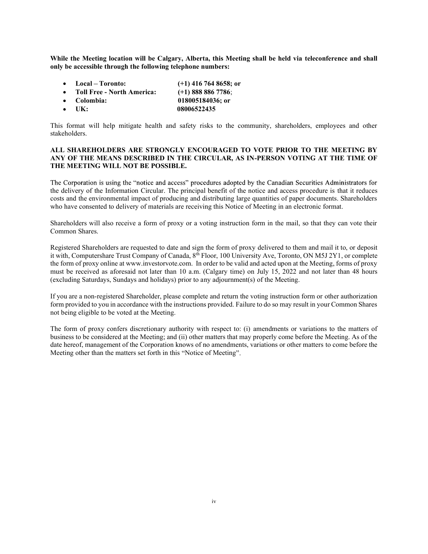While the Meeting location will be Calgary, Alberta, this Meeting shall be held via teleconference and shall only be accessible through the following telephone numbers:

- Local Toronto: (+1) 416 764 8658; or
- Toll Free North America: (+1) 888 886 7786;
- Colombia: 018005184036; or
- UK: 08006522435

This format will help mitigate health and safety risks to the community, shareholders, employees and other stakeholders.

## ALL SHAREHOLDERS ARE STRONGLY ENCOURAGED TO VOTE PRIOR TO THE MEETING BY ANY OF THE MEANS DESCRIBED IN THE CIRCULAR, AS IN-PERSON VOTING AT THE TIME OF THE MEETING WILL NOT BE POSSIBLE.

The Corporation is using the "notice and access" procedures adopted by the Canadian Securities Administrators for the delivery of the Information Circular. The principal benefit of the notice and access procedure is that it reduces costs and the environmental impact of producing and distributing large quantities of paper documents. Shareholders who have consented to delivery of materials are receiving this Notice of Meeting in an electronic format.

Shareholders will also receive a form of proxy or a voting instruction form in the mail, so that they can vote their Common Shares.

Registered Shareholders are requested to date and sign the form of proxy delivered to them and mail it to, or deposit it with, Computershare Trust Company of Canada, 8<sup>th</sup> Floor, 100 University Ave, Toronto, ON M5J 2Y1, or complete the form of proxy online at www.investorvote.com. In order to be valid and acted upon at the Meeting, forms of proxy must be received as aforesaid not later than 10 a.m. (Calgary time) on July 15, 2022 and not later than 48 hours (excluding Saturdays, Sundays and holidays) prior to any adjournment(s) of the Meeting.

If you are a non-registered Shareholder, please complete and return the voting instruction form or other authorization form provided to you in accordance with the instructions provided. Failure to do so may result in your Common Shares not being eligible to be voted at the Meeting.

The form of proxy confers discretionary authority with respect to: (i) amendments or variations to the matters of business to be considered at the Meeting; and (ii) other matters that may properly come before the Meeting. As of the date hereof, management of the Corporation knows of no amendments, variations or other matters to come before the Meeting other than the matters set forth in this "Notice of Meeting".